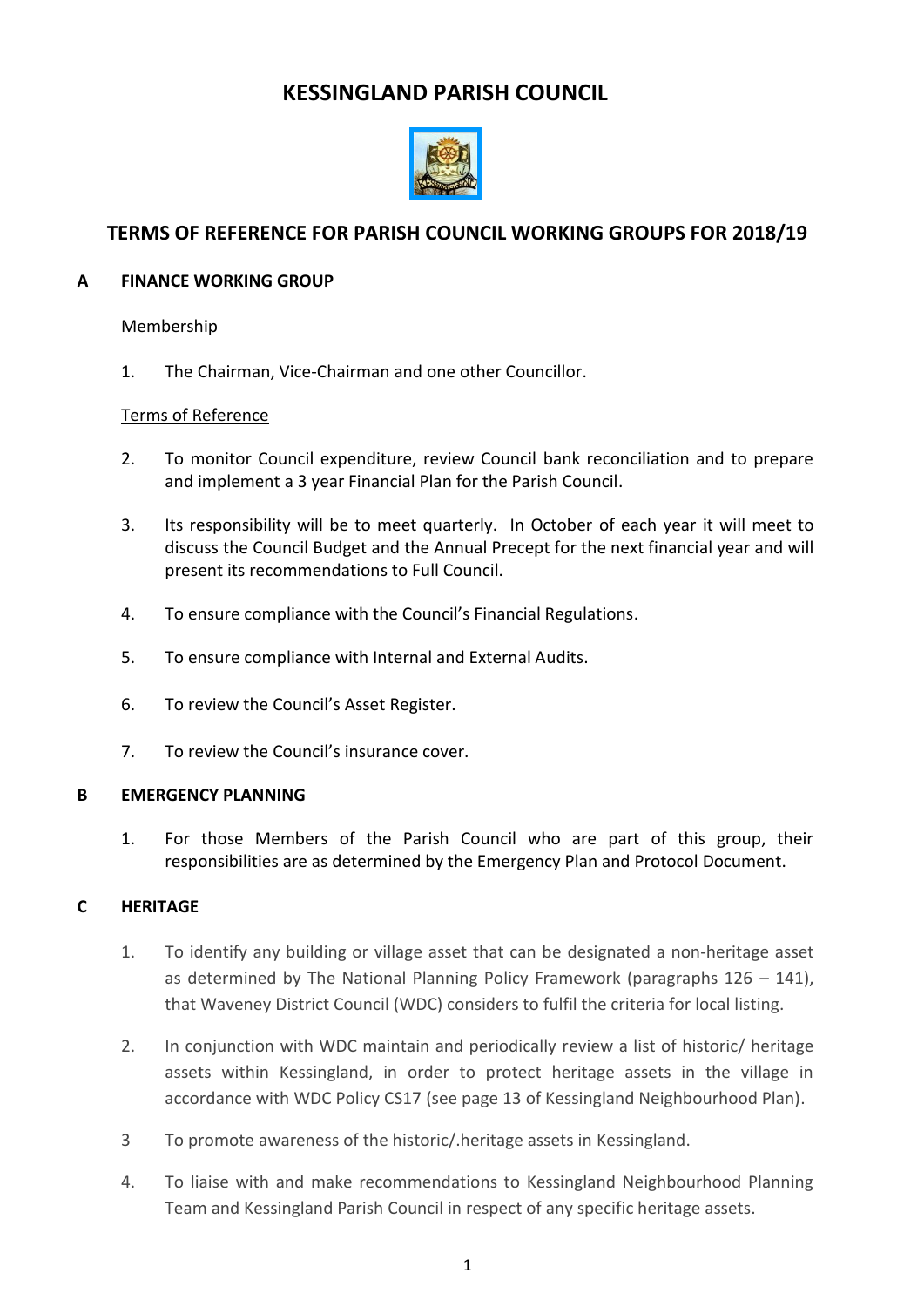# **KESSINGLAND PARISH COUNCIL**



# **TERMS OF REFERENCE FOR PARISH COUNCIL WORKING GROUPS FOR 2018/19**

# **A FINANCE WORKING GROUP**

### Membership

1. The Chairman, Vice-Chairman and one other Councillor.

# Terms of Reference

- 2. To monitor Council expenditure, review Council bank reconciliation and to prepare and implement a 3 year Financial Plan for the Parish Council.
- 3. Its responsibility will be to meet quarterly. In October of each year it will meet to discuss the Council Budget and the Annual Precept for the next financial year and will present its recommendations to Full Council.
- 4. To ensure compliance with the Council's Financial Regulations.
- 5. To ensure compliance with Internal and External Audits.
- 6. To review the Council's Asset Register.
- 7. To review the Council's insurance cover.

#### **B EMERGENCY PLANNING**

1. For those Members of the Parish Council who are part of this group, their responsibilities are as determined by the Emergency Plan and Protocol Document.

#### **C HERITAGE**

- 1. To identify any building or village asset that can be designated a non-heritage asset as determined by The National Planning Policy Framework (paragraphs  $126 - 141$ ), that Waveney District Council (WDC) considers to fulfil the criteria for local listing.
- 2. In conjunction with WDC maintain and periodically review a list of historic/ heritage assets within Kessingland, in order to protect heritage assets in the village in accordance with WDC Policy CS17 (see page 13 of Kessingland Neighbourhood Plan).
- 3 To promote awareness of the historic/.heritage assets in Kessingland.
- 4. To liaise with and make recommendations to Kessingland Neighbourhood Planning Team and Kessingland Parish Council in respect of any specific heritage assets.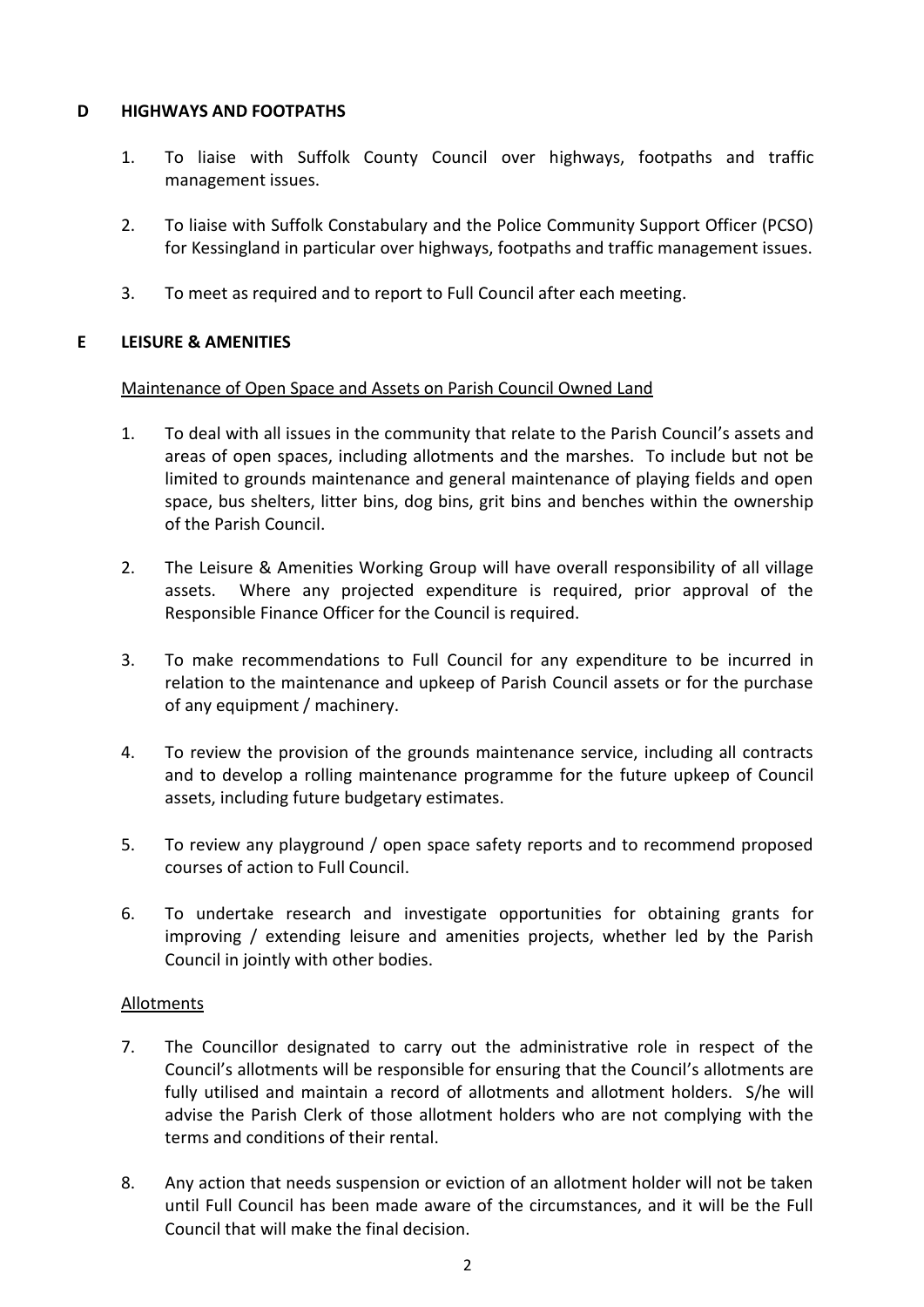# **D HIGHWAYS AND FOOTPATHS**

- 1. To liaise with Suffolk County Council over highways, footpaths and traffic management issues.
- 2. To liaise with Suffolk Constabulary and the Police Community Support Officer (PCSO) for Kessingland in particular over highways, footpaths and traffic management issues.
- 3. To meet as required and to report to Full Council after each meeting.

# **E LEISURE & AMENITIES**

#### Maintenance of Open Space and Assets on Parish Council Owned Land

- 1. To deal with all issues in the community that relate to the Parish Council's assets and areas of open spaces, including allotments and the marshes. To include but not be limited to grounds maintenance and general maintenance of playing fields and open space, bus shelters, litter bins, dog bins, grit bins and benches within the ownership of the Parish Council.
- 2. The Leisure & Amenities Working Group will have overall responsibility of all village assets. Where any projected expenditure is required, prior approval of the Responsible Finance Officer for the Council is required.
- 3. To make recommendations to Full Council for any expenditure to be incurred in relation to the maintenance and upkeep of Parish Council assets or for the purchase of any equipment / machinery.
- 4. To review the provision of the grounds maintenance service, including all contracts and to develop a rolling maintenance programme for the future upkeep of Council assets, including future budgetary estimates.
- 5. To review any playground / open space safety reports and to recommend proposed courses of action to Full Council.
- 6. To undertake research and investigate opportunities for obtaining grants for improving / extending leisure and amenities projects, whether led by the Parish Council in jointly with other bodies.

#### Allotments

- 7. The Councillor designated to carry out the administrative role in respect of the Council's allotments will be responsible for ensuring that the Council's allotments are fully utilised and maintain a record of allotments and allotment holders. S/he will advise the Parish Clerk of those allotment holders who are not complying with the terms and conditions of their rental.
- 8. Any action that needs suspension or eviction of an allotment holder will not be taken until Full Council has been made aware of the circumstances, and it will be the Full Council that will make the final decision.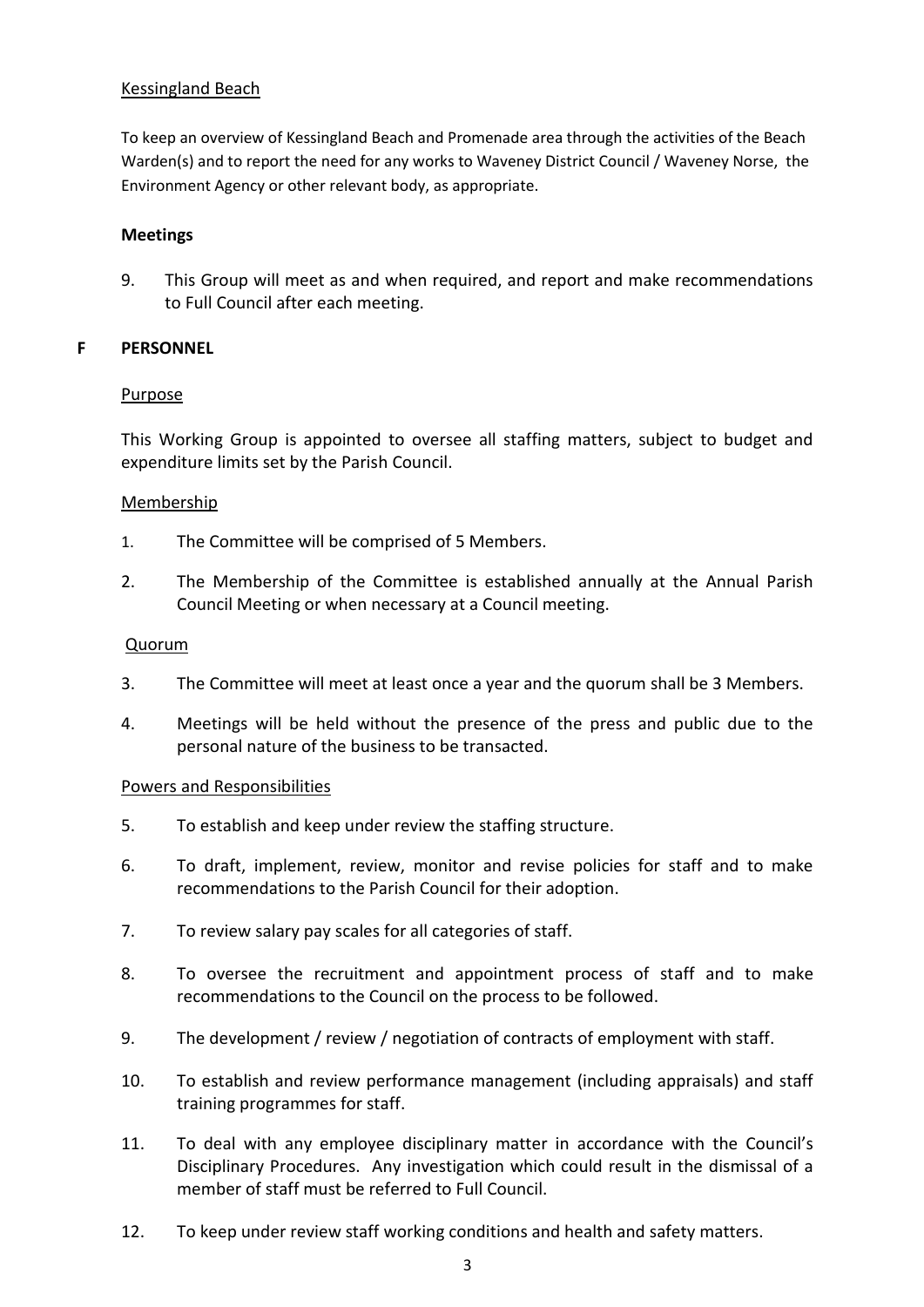### Kessingland Beach

To keep an overview of Kessingland Beach and Promenade area through the activities of the Beach Warden(s) and to report the need for any works to Waveney District Council / Waveney Norse, the Environment Agency or other relevant body, as appropriate.

#### **Meetings**

9. This Group will meet as and when required, and report and make recommendations to Full Council after each meeting.

#### **F PERSONNEL**

#### **Purpose**

This Working Group is appointed to oversee all staffing matters, subject to budget and expenditure limits set by the Parish Council.

#### Membership

- 1. The Committee will be comprised of 5 Members.
- 2. The Membership of the Committee is established annually at the Annual Parish Council Meeting or when necessary at a Council meeting.

### Quorum

- 3. The Committee will meet at least once a year and the quorum shall be 3 Members.
- 4. Meetings will be held without the presence of the press and public due to the personal nature of the business to be transacted.

#### Powers and Responsibilities

- 5. To establish and keep under review the staffing structure.
- 6. To draft, implement, review, monitor and revise policies for staff and to make recommendations to the Parish Council for their adoption.
- 7. To review salary pay scales for all categories of staff.
- 8. To oversee the recruitment and appointment process of staff and to make recommendations to the Council on the process to be followed.
- 9. The development / review / negotiation of contracts of employment with staff.
- 10. To establish and review performance management (including appraisals) and staff training programmes for staff.
- 11. To deal with any employee disciplinary matter in accordance with the Council's Disciplinary Procedures. Any investigation which could result in the dismissal of a member of staff must be referred to Full Council.
- 12. To keep under review staff working conditions and health and safety matters.